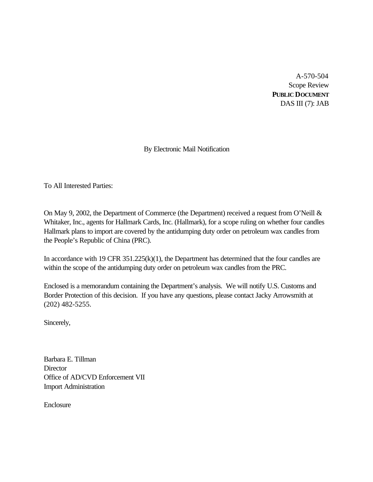A-570-504 Scope Review **PUBLIC DOCUMENT** DAS III (7): JAB

By Electronic Mail Notification

To All Interested Parties:

On May 9, 2002, the Department of Commerce (the Department) received a request from O'Neill & Whitaker, Inc., agents for Hallmark Cards, Inc. (Hallmark), for a scope ruling on whether four candles Hallmark plans to import are covered by the antidumping duty order on petroleum wax candles from the People's Republic of China (PRC).

In accordance with 19 CFR 351.225(k)(1), the Department has determined that the four candles are within the scope of the antidumping duty order on petroleum wax candles from the PRC.

Enclosed is a memorandum containing the Department's analysis. We will notify U.S. Customs and Border Protection of this decision. If you have any questions, please contact Jacky Arrowsmith at (202) 482-5255.

Sincerely,

Barbara E. Tillman **Director** Office of AD/CVD Enforcement VII Import Administration

Enclosure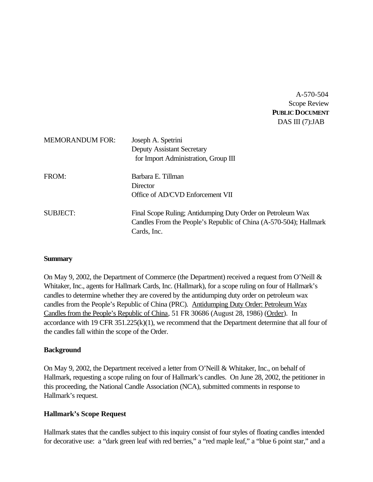A-570-504 Scope Review **PUBLIC DOCUMENT** DAS III (7):JAB

| <b>MEMORANDUM FOR:</b> | Joseph A. Spetrini<br><b>Deputy Assistant Secretary</b><br>for Import Administration, Group III                                                 |
|------------------------|-------------------------------------------------------------------------------------------------------------------------------------------------|
| FROM:                  | Barbara E. Tillman<br>Director<br>Office of AD/CVD Enforcement VII                                                                              |
| <b>SUBJECT:</b>        | Final Scope Ruling; Antidumping Duty Order on Petroleum Wax<br>Candles From the People's Republic of China (A-570-504); Hallmark<br>Cards, Inc. |

## **Summary**

On May 9, 2002, the Department of Commerce (the Department) received a request from O'Neill & Whitaker, Inc., agents for Hallmark Cards, Inc. (Hallmark), for a scope ruling on four of Hallmark's candles to determine whether they are covered by the antidumping duty order on petroleum wax candles from the People's Republic of China (PRC). Antidumping Duty Order: Petroleum Wax Candles from the People's Republic of China, 51 FR 30686 (August 28, 1986) (Order). In accordance with 19 CFR 351.225(k)(1), we recommend that the Department determine that all four of the candles fall within the scope of the Order.

## **Background**

On May 9, 2002, the Department received a letter from O'Neill & Whitaker, Inc., on behalf of Hallmark, requesting a scope ruling on four of Hallmark's candles. On June 28, 2002, the petitioner in this proceeding, the National Candle Association (NCA), submitted comments in response to Hallmark's request.

#### **Hallmark's Scope Request**

Hallmark states that the candles subject to this inquiry consist of four styles of floating candles intended for decorative use: a "dark green leaf with red berries," a "red maple leaf," a "blue 6 point star," and a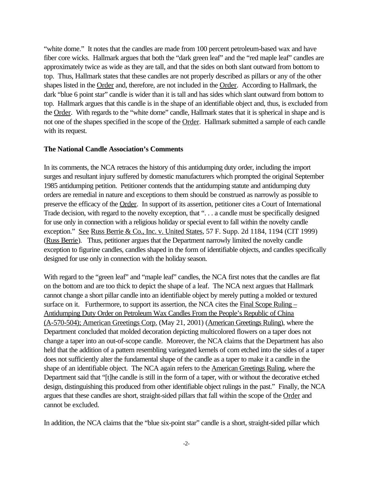"white dome." It notes that the candles are made from 100 percent petroleum-based wax and have fiber core wicks. Hallmark argues that both the "dark green leaf" and the "red maple leaf" candles are approximately twice as wide as they are tall, and that the sides on both slant outward from bottom to top. Thus, Hallmark states that these candles are not properly described as pillars or any of the other shapes listed in the Order and, therefore, are not included in the Order. According to Hallmark, the dark "blue 6 point star" candle is wider than it is tall and has sides which slant outward from bottom to top. Hallmark argues that this candle is in the shape of an identifiable object and, thus, is excluded from the Order. With regards to the "white dome" candle, Hallmark states that it is spherical in shape and is not one of the shapes specified in the scope of the Order. Hallmark submitted a sample of each candle with its request.

#### **The National Candle Association's Comments**

In its comments, the NCA retraces the history of this antidumping duty order, including the import surges and resultant injury suffered by domestic manufacturers which prompted the original September 1985 antidumping petition. Petitioner contends that the antidumping statute and antidumping duty orders are remedial in nature and exceptions to them should be construed as narrowly as possible to preserve the efficacy of the Order. In support of its assertion, petitioner cites a Court of International Trade decision, with regard to the novelty exception, that ". . . a candle must be specifically designed for use only in connection with a religious holiday or special event to fall within the novelty candle exception." See Russ Berrie & Co., Inc. v. United States, 57 F. Supp. 2d 1184, 1194 (CIT 1999) (Russ Berrie). Thus, petitioner argues that the Department narrowly limited the novelty candle exception to figurine candles, candles shaped in the form of identifiable objects, and candles specifically designed for use only in connection with the holiday season.

With regard to the "green leaf" and "maple leaf" candles, the NCA first notes that the candles are flat on the bottom and are too thick to depict the shape of a leaf. The NCA next argues that Hallmark cannot change a short pillar candle into an identifiable object by merely putting a molded or textured surface on it. Furthermore, to support its assertion, the NCA cites the  $Final Scope Ruling -$ </u> Antidumping Duty Order on Petroleum Wax Candles From the People's Republic of China (A-570-504); American Greetings Corp. (May 21, 2001) (American Greetings Ruling), where the Department concluded that molded decoration depicting multicolored flowers on a taper does not change a taper into an out-of-scope candle. Moreover, the NCA claims that the Department has also held that the addition of a pattern resembling variegated kernels of corn etched into the sides of a taper does not sufficiently alter the fundamental shape of the candle as a taper to make it a candle in the shape of an identifiable object. The NCA again refers to the American Greetings Ruling, where the Department said that "[t]he candle is still in the form of a taper, with or without the decorative etched design, distinguishing this produced from other identifiable object rulings in the past." Finally, the NCA argues that these candles are short, straight-sided pillars that fall within the scope of the Order and cannot be excluded.

In addition, the NCA claims that the "blue six-point star" candle is a short, straight-sided pillar which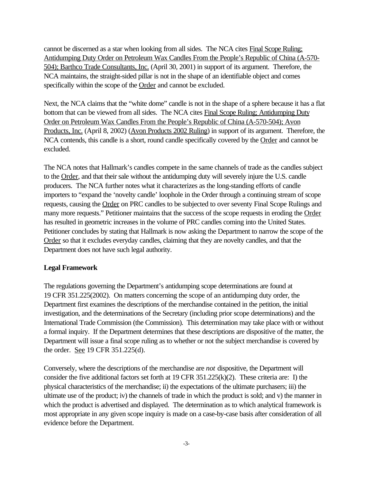cannot be discerned as a star when looking from all sides. The NCA cites Final Scope Ruling; Antidumping Duty Order on Petroleum Wax Candles From the People's Republic of China (A-570- 504); Barthco Trade Consultants, Inc. (April 30, 2001) in support of its argument. Therefore, the NCA maintains, the straight-sided pillar is not in the shape of an identifiable object and comes specifically within the scope of the Order and cannot be excluded.

Next, the NCA claims that the "white dome" candle is not in the shape of a sphere because it has a flat bottom that can be viewed from all sides. The NCA cites Final Scope Ruling; Antidumping Duty Order on Petroleum Wax Candles From the People's Republic of China (A-570-504); Avon Products, Inc. (April 8, 2002) (Avon Products 2002 Ruling) in support of its argument. Therefore, the NCA contends, this candle is a short, round candle specifically covered by the Order and cannot be excluded.

The NCA notes that Hallmark's candles compete in the same channels of trade as the candles subject to the Order, and that their sale without the antidumping duty will severely injure the U.S. candle producers. The NCA further notes what it characterizes as the long-standing efforts of candle importers to "expand the 'novelty candle' loophole in the Order through a continuing stream of scope requests, causing the Order on PRC candles to be subjected to over seventy Final Scope Rulings and many more requests." Petitioner maintains that the success of the scope requests in eroding the Order has resulted in geometric increases in the volume of PRC candles coming into the United States. Petitioner concludes by stating that Hallmark is now asking the Department to narrow the scope of the Order so that it excludes everyday candles, claiming that they are novelty candles, and that the Department does not have such legal authority.

## **Legal Framework**

The regulations governing the Department's antidumping scope determinations are found at 19 CFR 351.225(2002). On matters concerning the scope of an antidumping duty order, the Department first examines the descriptions of the merchandise contained in the petition, the initial investigation, and the determinations of the Secretary (including prior scope determinations) and the International Trade Commission (the Commission). This determination may take place with or without a formal inquiry. If the Department determines that these descriptions are dispositive of the matter, the Department will issue a final scope ruling as to whether or not the subject merchandise is covered by the order. See 19 CFR 351.225(d).

Conversely, where the descriptions of the merchandise are *not* dispositive, the Department will consider the five additional factors set forth at  $19 \text{ CFR } 351.225 \times (k)(2)$ . These criteria are: I) the physical characteristics of the merchandise; ii) the expectations of the ultimate purchasers; iii) the ultimate use of the product; iv) the channels of trade in which the product is sold; and v) the manner in which the product is advertised and displayed. The determination as to which analytical framework is most appropriate in any given scope inquiry is made on a case-by-case basis after consideration of all evidence before the Department.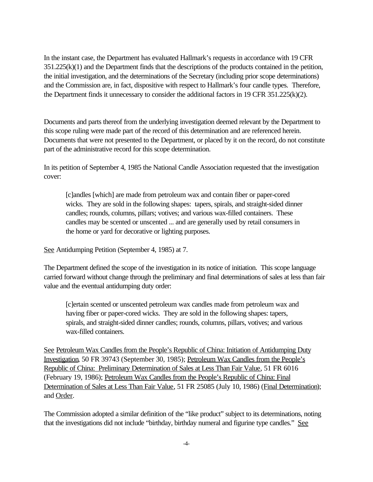In the instant case, the Department has evaluated Hallmark's requests in accordance with 19 CFR 351.225(k)(1) and the Department finds that the descriptions of the products contained in the petition, the initial investigation, and the determinations of the Secretary (including prior scope determinations) and the Commission are, in fact, dispositive with respect to Hallmark's four candle types. Therefore, the Department finds it unnecessary to consider the additional factors in 19 CFR 351.225(k)(2).

Documents and parts thereof from the underlying investigation deemed relevant by the Department to this scope ruling were made part of the record of this determination and are referenced herein. Documents that were not presented to the Department, or placed by it on the record, do not constitute part of the administrative record for this scope determination.

In its petition of September 4, 1985 the National Candle Association requested that the investigation cover:

[c]andles [which] are made from petroleum wax and contain fiber or paper-cored wicks. They are sold in the following shapes: tapers, spirals, and straight-sided dinner candles; rounds, columns, pillars; votives; and various wax-filled containers. These candles may be scented or unscented ... and are generally used by retail consumers in the home or yard for decorative or lighting purposes.

See Antidumping Petition (September 4, 1985) at 7.

The Department defined the scope of the investigation in its notice of initiation. This scope language carried forward without change through the preliminary and final determinations of sales at less than fair value and the eventual antidumping duty order:

[c]ertain scented or unscented petroleum wax candles made from petroleum wax and having fiber or paper-cored wicks. They are sold in the following shapes: tapers, spirals, and straight-sided dinner candles; rounds, columns, pillars, votives; and various wax-filled containers.

See Petroleum Wax Candles from the People's Republic of China: Initiation of Antidumping Duty Investigation, 50 FR 39743 (September 30, 1985); Petroleum Wax Candles from the People's Republic of China: Preliminary Determination of Sales at Less Than Fair Value, 51 FR 6016 (February 19, 1986); Petroleum Wax Candles from the People's Republic of China: Final Determination of Sales at Less Than Fair Value, 51 FR 25085 (July 10, 1986) (Final Determination); and Order.

The Commission adopted a similar definition of the "like product" subject to its determinations, noting that the investigations did not include "birthday, birthday numeral and figurine type candles." See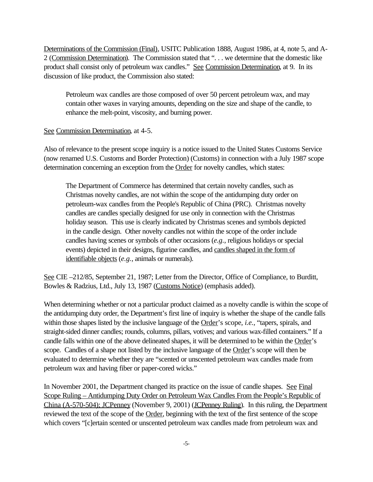Determinations of the Commission (Final), USITC Publication 1888, August 1986, at 4, note 5, and A-2 (Commission Determination). The Commission stated that ". . . we determine that the domestic like product shall consist only of petroleum wax candles." See Commission Determination, at 9. In its discussion of like product, the Commission also stated:

Petroleum wax candles are those composed of over 50 percent petroleum wax, and may contain other waxes in varying amounts, depending on the size and shape of the candle, to enhance the melt-point, viscosity, and burning power.

## See Commission Determination, at 4-5.

Also of relevance to the present scope inquiry is a notice issued to the United States Customs Service (now renamed U.S. Customs and Border Protection) (Customs) in connection with a July 1987 scope determination concerning an exception from the Order for novelty candles, which states:

The Department of Commerce has determined that certain novelty candles, such as Christmas novelty candles, are not within the scope of the antidumping duty order on petroleum-wax candles from the People's Republic of China (PRC). Christmas novelty candles are candles specially designed for use only in connection with the Christmas holiday season. This use is clearly indicated by Christmas scenes and symbols depicted in the candle design. Other novelty candles not within the scope of the order include candles having scenes or symbols of other occasions (*e.g.*, religious holidays or special events) depicted in their designs, figurine candles, and candles shaped in the form of identifiable objects (*e.g.*, animals or numerals).

See CIE –212/85, September 21, 1987; Letter from the Director, Office of Compliance, to Burditt, Bowles & Radzius, Ltd., July 13, 1987 (Customs Notice) (emphasis added).

When determining whether or not a particular product claimed as a novelty candle is within the scope of the antidumping duty order, the Department's first line of inquiry is whether the shape of the candle falls within those shapes listed by the inclusive language of the Order's scope, *i.e.*, "tapers, spirals, and straight-sided dinner candles; rounds, columns, pillars, votives; and various wax-filled containers." If a candle falls within one of the above delineated shapes, it will be determined to be within the Order's scope. Candles of a shape not listed by the inclusive language of the Order's scope will then be evaluated to determine whether they are "scented or unscented petroleum wax candles made from petroleum wax and having fiber or paper-cored wicks."

In November 2001, the Department changed its practice on the issue of candle shapes. See Final Scope Ruling – Antidumping Duty Order on Petroleum Wax Candles From the People's Republic of China (A-570-504); JCPenney (November 9, 2001) (JCPenney Ruling). In this ruling, the Department reviewed the text of the scope of the Order, beginning with the text of the first sentence of the scope which covers "[c]ertain scented or unscented petroleum wax candles made from petroleum wax and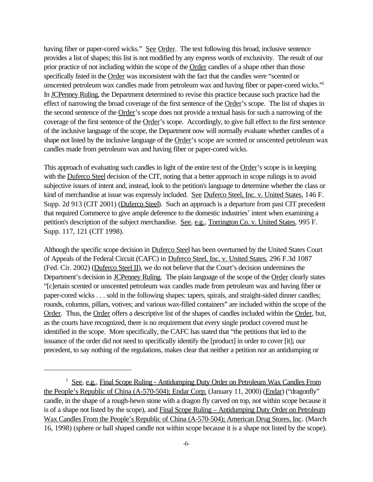having fiber or paper-cored wicks." See Order. The text following this broad, inclusive sentence provides a list of shapes; this list is not modified by any express words of exclusivity. The result of our prior practice of not including within the scope of the Order candles of a shape other than those specifically listed in the Order was inconsistent with the fact that the candles were "scented or unscented petroleum wax candles made from petroleum wax and having fiber or paper-cored wicks."<sup>1</sup> In JCPenney Ruling, the Department determined to revise this practice because such practice had the effect of narrowing the broad coverage of the first sentence of the Order's scope. The list of shapes in the second sentence of the Order's scope does not provide a textual basis for such a narrowing of the coverage of the first sentence of the Order's scope. Accordingly, to give full effect to the first sentence of the inclusive language of the scope, the Department now will normally evaluate whether candles of a shape not listed by the inclusive language of the Order's scope are scented or unscented petroleum wax candles made from petroleum wax and having fiber or paper-cored wicks.

This approach of evaluating such candles in light of the entire text of the Order's scope is in keeping with the <u>Duferco Steel</u> decision of the CIT, noting that a better approach in scope rulings is to avoid subjective issues of intent and, instead, look to the petition's language to determine whether the class or kind of merchandise at issue was expressly included. See Duferco Steel, Inc. v. United States, 146 F. Supp. 2d 913 (CIT 2001) (Duferco Steel). Such an approach is a departure from past CIT precedent that required Commerce to give ample deference to the domestic industries' intent when examining a petition's description of the subject merchandise. See, e.g., Torrington Co. v. United States, 995 F. Supp. 117, 121 (CIT 1998).

Although the specific scope decision in Duferco Steel has been overturned by the United States Court of Appeals of the Federal Circuit (CAFC) in Duferco Steel, Inc. v. United States, 296 F.3d 1087 (Fed. Cir. 2002) (Duferco Steel II), we do not believe that the Court's decision undermines the Department's decision in JCPenney Ruling. The plain language of the scope of the Order clearly states "[c]ertain scented or unscented petroleum wax candles made from petroleum wax and having fiber or paper-cored wicks . . . sold in the following shapes: tapers, spirals, and straight-sided dinner candles; rounds, columns, pillars, votives; and various wax-filled containers" are included within the scope of the Order. Thus, the Order offers a descriptive list of the shapes of candles included within the Order, but, as the courts have recognized, there is no requirement that every single product covered must be identified in the scope. More specifically, the CAFC has stated that "the petitions that led to the issuance of the order did not need to specifically identify the [product] in order to cover [it]; our precedent, to say nothing of the regulations, makes clear that neither a petition nor an antidumping or

<sup>&</sup>lt;sup>1</sup> See, e.g., Final Scope Ruling - Antidumping Duty Order on Petroleum Wax Candles From the People's Republic of China (A-570-504); Endar Corp. (January 11, 2000) (Endar) ("dragonfly" candle, in the shape of a rough-hewn stone with a dragon fly carved on top, not within scope because it is of a shape not listed by the scope), and Final Scope Ruling – Antidumping Duty Order on Petroleum Wax Candles From the People's Republic of China (A-570-504); American Drug Stores, Inc. (March 16, 1998) (sphere or ball shaped candle not within scope because it is a shape not listed by the scope).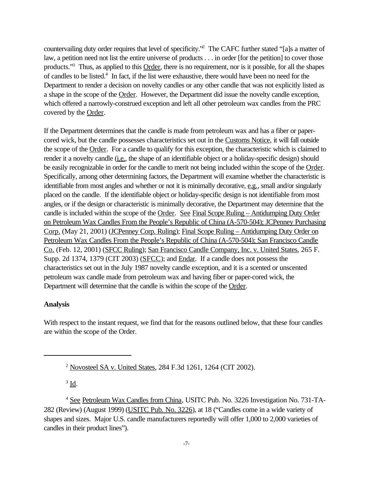countervailing duty order requires that level of specificity."<sup>2</sup> The CAFC further stated "[a]s a matter of law, a petition need not list the entire universe of products . . . in order [for the petition] to cover those products."<sup>3</sup> Thus, as applied to this Order, there is no requirement, nor is it possible, for all the shapes of candles to be listed.<sup>4</sup> In fact, if the list were exhaustive, there would have been no need for the Department to render a decision on novelty candles or any other candle that was not explicitly listed as a shape in the scope of the Order. However, the Department did issue the novelty candle exception, which offered a narrowly-construed exception and left all other petroleum wax candles from the PRC covered by the Order.

If the Department determines that the candle is made from petroleum wax and has a fiber or papercored wick, but the candle possesses characteristics set out in the Customs Notice, it will fall outside the scope of the Order. For a candle to qualify for this exception, the characteristic which is claimed to render it a novelty candle (i.e., the shape of an identifiable object or a holiday-specific design) should be easily recognizable in order for the candle to merit not being included within the scope of the Order. Specifically, among other determining factors, the Department will examine whether the characteristic is identifiable from most angles and whether or not it is minimally decorative, e.g., small and/or singularly placed on the candle. If the identifiable object or holiday-specific design is not identifiable from most angles, or if the design or characteristic is minimally decorative, the Department may determine that the candle is included within the scope of the Order. See Final Scope Ruling – Antidumping Duty Order on Petroleum Wax Candles From the People's Republic of China (A-570-504); JCPenney Purchasing Corp. (May 21, 2001) (JCPenney Corp. Ruling); Final Scope Ruling – Antidumping Duty Order on Petroleum Wax Candles From the People's Republic of China (A-570-504); San Francisco Candle Co. (Feb. 12, 2001) (SFCC Ruling); San Francisco Candle Company, Inc. v. United States, 265 F. Supp. 2d 1374, 1379 (CIT 2003) (SFCC); and Endar. If a candle does not possess the characteristics set out in the July 1987 novelty candle exception, and it is a scented or unscented petroleum wax candle made from petroleum wax and having fiber or paper-cored wick, the Department will determine that the candle is within the scope of the Order.

## **Analysis**

With respect to the instant request, we find that for the reasons outlined below, that these four candles are within the scope of the Order.

 $3 \underline{\mathbf{Id}}$ .

<sup>2</sup> Novosteel SA v. United States, 284 F.3d 1261, 1264 (CIT 2002).

<sup>&</sup>lt;sup>4</sup> See Petroleum Wax Candles from China, USITC Pub. No. 3226 Investigation No. 731-TA-282 (Review) (August 1999) (USITC Pub. No. 3226), at 18 ("Candles come in a wide variety of shapes and sizes. Major U.S. candle manufacturers reportedly will offer 1,000 to 2,000 varieties of candles in their product lines").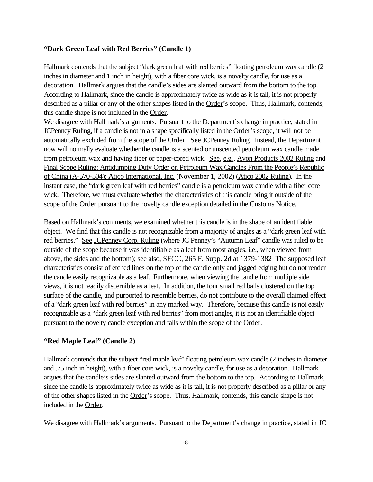## **"Dark Green Leaf with Red Berries" (Candle 1)**

Hallmark contends that the subject "dark green leaf with red berries" floating petroleum wax candle (2 inches in diameter and 1 inch in height), with a fiber core wick, is a novelty candle, for use as a decoration. Hallmark argues that the candle's sides are slanted outward from the bottom to the top. According to Hallmark, since the candle is approximately twice as wide as it is tall, it is not properly described as a pillar or any of the other shapes listed in the Order's scope. Thus, Hallmark, contends, this candle shape is not included in the Order.

We disagree with Hallmark's arguments. Pursuant to the Department's change in practice, stated in JCPenney Ruling, if a candle is not in a shape specifically listed in the Order's scope, it will not be automatically excluded from the scope of the Order. See JCPenney Ruling. Instead, the Department now will normally evaluate whether the candle is a scented or unscented petroleum wax candle made from petroleum wax and having fiber or paper-cored wick. See, e.g., Avon Products 2002 Ruling and Final Scope Ruling; Antidumping Duty Order on Petroleum Wax Candles From the People's Republic of China (A-570-504); Atico International, Inc. (November 1, 2002) (Atico 2002 Ruling). In the instant case, the "dark green leaf with red berries" candle is a petroleum wax candle with a fiber core wick. Therefore, we must evaluate whether the characteristics of this candle bring it outside of the scope of the Order pursuant to the novelty candle exception detailed in the Customs Notice.

Based on Hallmark's comments, we examined whether this candle is in the shape of an identifiable object. We find that this candle is not recognizable from a majority of angles as a "dark green leaf with red berries." See JCPenney Corp. Ruling (where JC Penney's "Autumn Leaf" candle was ruled to be outside of the scope because it was identifiable as a leaf from most angles, *i.e.*, when viewed from above, the sides and the bottom); <u>see also, SFCC</u>, 265 F. Supp. 2d at 1379-1382 The supposed leaf characteristics consist of etched lines on the top of the candle only and jagged edging but do not render the candle easily recognizable as a leaf. Furthermore, when viewing the candle from multiple side views, it is not readily discernible as a leaf. In addition, the four small red balls clustered on the top surface of the candle, and purported to resemble berries, do not contribute to the overall claimed effect of a "dark green leaf with red berries" in any marked way. Therefore, because this candle is not easily recognizable as a "dark green leaf with red berries" from most angles, it is not an identifiable object pursuant to the novelty candle exception and falls within the scope of the Order.

## **"Red Maple Leaf" (Candle 2)**

Hallmark contends that the subject "red maple leaf" floating petroleum wax candle (2 inches in diameter and .75 inch in height), with a fiber core wick, is a novelty candle, for use as a decoration. Hallmark argues that the candle's sides are slanted outward from the bottom to the top. According to Hallmark, since the candle is approximately twice as wide as it is tall, it is not properly described as a pillar or any of the other shapes listed in the Order's scope. Thus, Hallmark, contends, this candle shape is not included in the Order.

We disagree with Hallmark's arguments. Pursuant to the Department's change in practice, stated in JC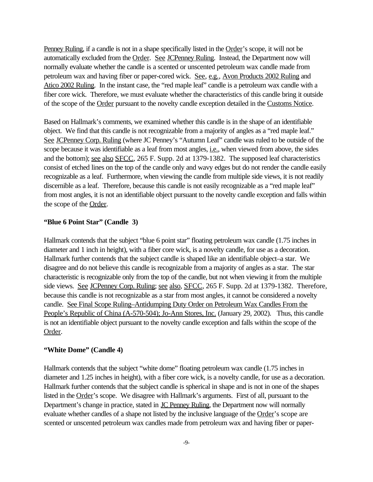Penney Ruling, if a candle is not in a shape specifically listed in the Order's scope, it will not be automatically excluded from the Order. See JCPenney Ruling. Instead, the Department now will normally evaluate whether the candle is a scented or unscented petroleum wax candle made from petroleum wax and having fiber or paper-cored wick. See, e.g., Avon Products 2002 Ruling and Atico 2002 Ruling. In the instant case, the "red maple leaf" candle is a petroleum wax candle with a fiber core wick. Therefore, we must evaluate whether the characteristics of this candle bring it outside of the scope of the Order pursuant to the novelty candle exception detailed in the Customs Notice.

Based on Hallmark's comments, we examined whether this candle is in the shape of an identifiable object. We find that this candle is not recognizable from a majority of angles as a "red maple leaf." See JCPenney Corp. Ruling (where JC Penney's "Autumn Leaf" candle was ruled to be outside of the scope because it was identifiable as a leaf from most angles, i.e., when viewed from above, the sides and the bottom); see also SFCC, 265 F. Supp. 2d at 1379-1382. The supposed leaf characteristics consist of etched lines on the top of the candle only and wavy edges but do not render the candle easily recognizable as a leaf. Furthermore, when viewing the candle from multiple side views, it is not readily discernible as a leaf. Therefore, because this candle is not easily recognizable as a "red maple leaf" from most angles, it is not an identifiable object pursuant to the novelty candle exception and falls within the scope of the Order.

#### **"Blue 6 Point Star" (Candle 3)**

Hallmark contends that the subject "blue 6 point star" floating petroleum wax candle (1.75 inches in diameter and 1 inch in height), with a fiber core wick, is a novelty candle, for use as a decoration. Hallmark further contends that the subject candle is shaped like an identifiable object–a star. We disagree and do not believe this candle is recognizable from a majority of angles as a star. The star characteristic is recognizable only from the top of the candle, but not when viewing it from the multiple side views. See JCPenney Corp. Ruling; see also, SFCC, 265 F. Supp. 2d at 1379-1382. Therefore, because this candle is not recognizable as a star from most angles, it cannot be considered a novelty candle. See Final Scope Ruling–Antidumping Duty Order on Petroleum Wax Candles From the People's Republic of China (A-570-504); Jo-Ann Stores, Inc. (January 29, 2002). Thus, this candle is not an identifiable object pursuant to the novelty candle exception and falls within the scope of the Order.

#### **"White Dome" (Candle 4)**

Hallmark contends that the subject "white dome" floating petroleum wax candle (1.75 inches in diameter and 1.25 inches in height), with a fiber core wick, is a novelty candle, for use as a decoration. Hallmark further contends that the subject candle is spherical in shape and is not in one of the shapes listed in the Order's scope. We disagree with Hallmark's arguments. First of all, pursuant to the Department's change in practice, stated in **JC Penney Ruling**, the Department now will normally evaluate whether candles of a shape not listed by the inclusive language of the Order's scope are scented or unscented petroleum wax candles made from petroleum wax and having fiber or paper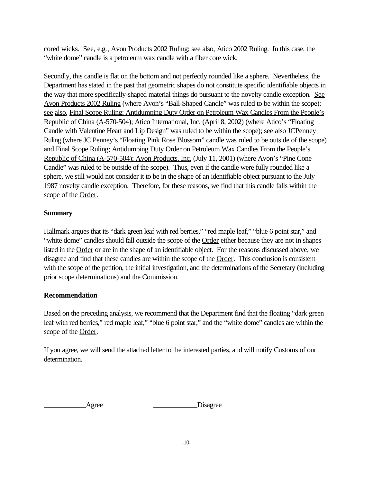cored wicks. See, e.g., Avon Products 2002 Ruling; see also, Atico 2002 Ruling. In this case, the "white dome" candle is a petroleum wax candle with a fiber core wick.

Secondly, this candle is flat on the bottom and not perfectly rounded like a sphere. Nevertheless, the Department has stated in the past that geometric shapes do not constitute specific identifiable objects in the way that more specifically-shaped material things do pursuant to the novelty candle exception. See Avon Products 2002 Ruling (where Avon's "Ball-Shaped Candle" was ruled to be within the scope); see also, Final Scope Ruling; Antidumping Duty Order on Petroleum Wax Candles From the People's Republic of China (A-570-504); Atico International, Inc. (April 8, 2002) (where Atico's "Floating Candle with Valentine Heart and Lip Design" was ruled to be within the scope); see also JCPenney Ruling (where JC Penney's "Floating Pink Rose Blossom" candle was ruled to be outside of the scope) and Final Scope Ruling; Antidumping Duty Order on Petroleum Wax Candles From the People's Republic of China (A-570-504); Avon Products, Inc. (July 11, 2001) (where Avon's "Pine Cone Candle" was ruled to be outside of the scope). Thus, even if the candle were fully rounded like a sphere, we still would not consider it to be in the shape of an identifiable object pursuant to the July 1987 novelty candle exception. Therefore, for these reasons, we find that this candle falls within the scope of the Order.

# **Summary**

Hallmark argues that its "dark green leaf with red berries," "red maple leaf," "blue 6 point star," and "white dome" candles should fall outside the scope of the **Order** either because they are not in shapes listed in the Order or are in the shape of an identifiable object. For the reasons discussed above, we disagree and find that these candles are within the scope of the Order. This conclusion is consistent with the scope of the petition, the initial investigation, and the determinations of the Secretary (including prior scope determinations) and the Commission.

# **Recommendation**

Based on the preceding analysis, we recommend that the Department find that the floating "dark green leaf with red berries," red maple leaf," "blue 6 point star," and the "white dome" candles are within the scope of the Order.

If you agree, we will send the attached letter to the interested parties, and will notify Customs of our determination.

Agree Disagree